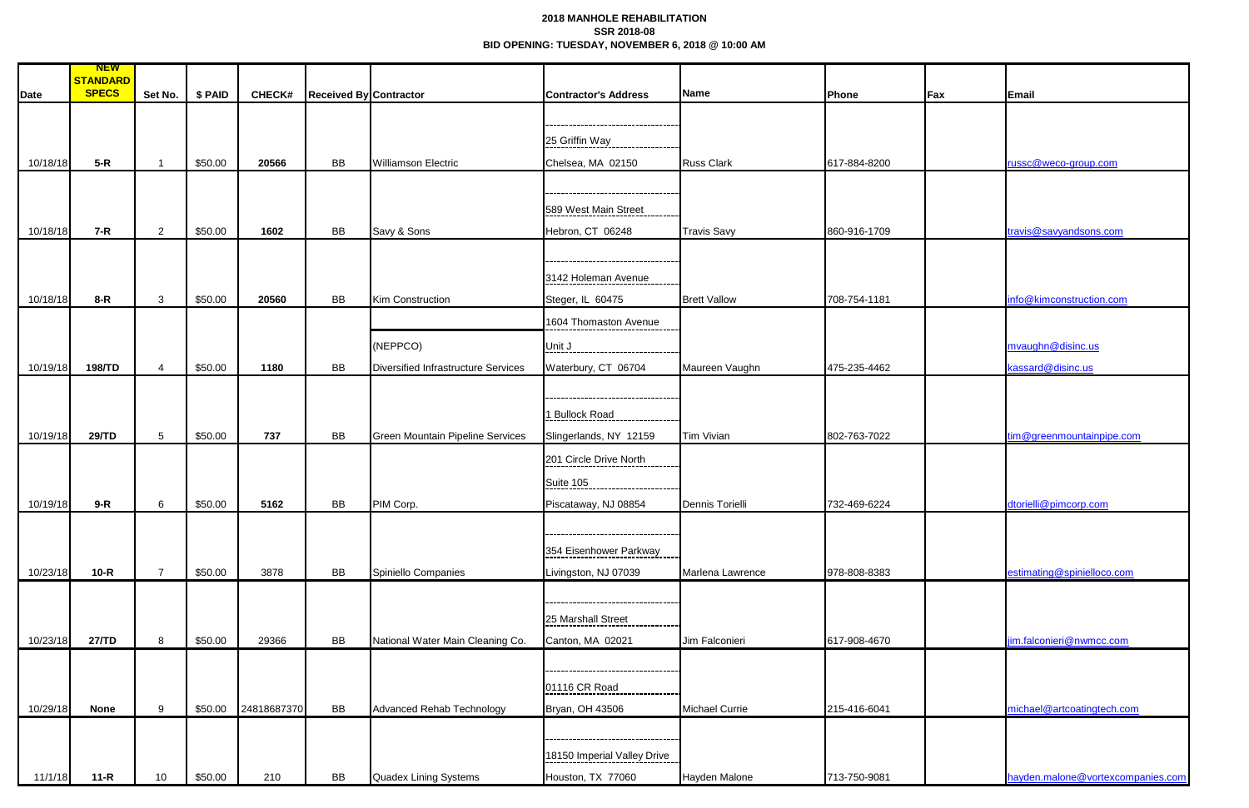## **2018 MANHOLE REHABILITATION SSR 2018-08 BID OPENING: TUESDAY, NOVEMBER 6, 2018 @ 10:00 AM**

| <b>Date</b> | <b>NEW</b><br>STANDARD<br><b>SPECS</b> | Set No.         | \$ PAID | <b>CHECK#</b> | <b>Received By Contractor</b> |                                         | <b>Contractor's Address</b> | Name                  | Phone        | Fax | Email                             |
|-------------|----------------------------------------|-----------------|---------|---------------|-------------------------------|-----------------------------------------|-----------------------------|-----------------------|--------------|-----|-----------------------------------|
|             |                                        |                 |         |               |                               |                                         |                             |                       |              |     |                                   |
|             |                                        |                 |         |               |                               |                                         |                             |                       |              |     |                                   |
|             |                                        |                 |         |               |                               |                                         | 25 Griffin Way              |                       |              |     |                                   |
| 10/18/18    | $5-R$                                  |                 | \$50.00 | 20566         | BB                            | <b>Williamson Electric</b>              | Chelsea, MA 02150           | <b>Russ Clark</b>     | 617-884-8200 |     | russc@weco-group.com              |
|             |                                        |                 |         |               |                               |                                         |                             |                       |              |     |                                   |
|             |                                        |                 |         |               |                               |                                         |                             |                       |              |     |                                   |
|             |                                        |                 |         |               |                               |                                         | 589 West Main Street        |                       |              |     |                                   |
| 10/18/18    | $7-R$                                  | $2^{\circ}$     | \$50.00 | 1602          | BB                            | Savy & Sons                             | Hebron, CT 06248            | <b>Travis Savy</b>    | 860-916-1709 |     | travis@savyandsons.com            |
|             |                                        |                 |         |               |                               |                                         |                             |                       |              |     |                                   |
|             |                                        |                 |         |               |                               |                                         |                             |                       |              |     |                                   |
|             |                                        |                 |         |               |                               |                                         | 3142 Holeman Avenue         |                       |              |     |                                   |
| 10/18/18    | $8-R$                                  | $\mathbf{3}$    | \$50.00 | 20560         | BB                            | <b>Kim Construction</b>                 | Steger, IL 60475            | <b>Brett Vallow</b>   | 708-754-1181 |     | info@kimconstruction.com          |
|             |                                        |                 |         |               |                               |                                         |                             |                       |              |     |                                   |
|             |                                        |                 |         |               |                               |                                         | 1604 Thomaston Avenue       |                       |              |     |                                   |
|             |                                        |                 |         |               |                               | (NEPPCO)                                | Unit $J$                    |                       |              |     | mvaughn@disinc.us                 |
| 10/19/18    | 198/TD                                 |                 | \$50.00 | 1180          | BB                            | Diversified Infrastructure Services     | Waterbury, CT 06704         | Maureen Vaughn        | 475-235-4462 |     | kassard@disinc.us                 |
|             |                                        |                 |         |               |                               |                                         |                             |                       |              |     |                                   |
|             |                                        |                 |         |               |                               |                                         |                             |                       |              |     |                                   |
|             |                                        |                 |         |               |                               |                                         | 1 Bullock Road              |                       |              |     |                                   |
| 10/19/18    | 29/TD                                  | 5 <sup>5</sup>  | \$50.00 | 737           | BB                            | <b>Green Mountain Pipeline Services</b> | Slingerlands, NY 12159      | <b>Tim Vivian</b>     | 802-763-7022 |     | tim@greenmountainpipe.com         |
|             |                                        |                 |         |               |                               |                                         |                             |                       |              |     |                                   |
|             |                                        |                 |         |               |                               |                                         | 201 Circle Drive North      |                       |              |     |                                   |
|             |                                        |                 |         |               |                               |                                         | Suite 105                   |                       |              |     |                                   |
| 10/19/18    | $9-R$                                  | 6               | \$50.00 | 5162          | BB                            | PIM Corp.                               | Piscataway, NJ 08854        | Dennis Torielli       | 732-469-6224 |     | dtorielli@pimcorp.com             |
|             |                                        |                 |         |               |                               |                                         |                             |                       |              |     |                                   |
|             |                                        |                 |         |               |                               |                                         |                             |                       |              |     |                                   |
|             |                                        |                 |         |               |                               |                                         | 354 Eisenhower Parkway      |                       |              |     |                                   |
| 10/23/18    | $10-R$                                 | $\overline{7}$  | \$50.00 | 3878          | BB                            | Spiniello Companies                     | Livingston, NJ 07039        | Marlena Lawrence      | 978-808-8383 |     | estimating@spinielloco.com        |
|             |                                        |                 |         |               |                               |                                         |                             |                       |              |     |                                   |
|             |                                        |                 |         |               |                               |                                         |                             |                       |              |     |                                   |
|             |                                        |                 |         |               |                               |                                         | 25 Marshall Street          |                       |              |     |                                   |
| 10/23/18    | 27/TD                                  | 8               | \$50.00 | 29366         | BB                            | National Water Main Cleaning Co.        | Canton, MA 02021            | Jim Falconieri        | 617-908-4670 |     | jim.falconieri@nwmcc.com          |
|             |                                        |                 |         |               |                               |                                         |                             |                       |              |     |                                   |
|             |                                        |                 |         |               |                               |                                         |                             |                       |              |     |                                   |
|             |                                        |                 |         |               |                               |                                         | 01116 CR Road               |                       |              |     |                                   |
| 10/29/18    | <b>None</b>                            | 9               | \$50.00 | 24818687370   | BB                            | Advanced Rehab Technology               | Bryan, OH 43506             | <b>Michael Currie</b> | 215-416-6041 |     | michael@artcoatingtech.com        |
|             |                                        |                 |         |               |                               |                                         |                             |                       |              |     |                                   |
|             |                                        |                 |         |               |                               |                                         |                             |                       |              |     |                                   |
|             |                                        |                 |         |               |                               |                                         | 18150 Imperial Valley Drive |                       |              |     |                                   |
| 11/1/18     | $11 - R$                               | 10 <sup>°</sup> | \$50.00 | 210           | BB                            | Quadex Lining Systems                   | Houston, TX 77060           | Hayden Malone         | 713-750-9081 |     | hayden.malone@vortexcompanies.com |
|             |                                        |                 |         |               |                               |                                         |                             |                       |              |     |                                   |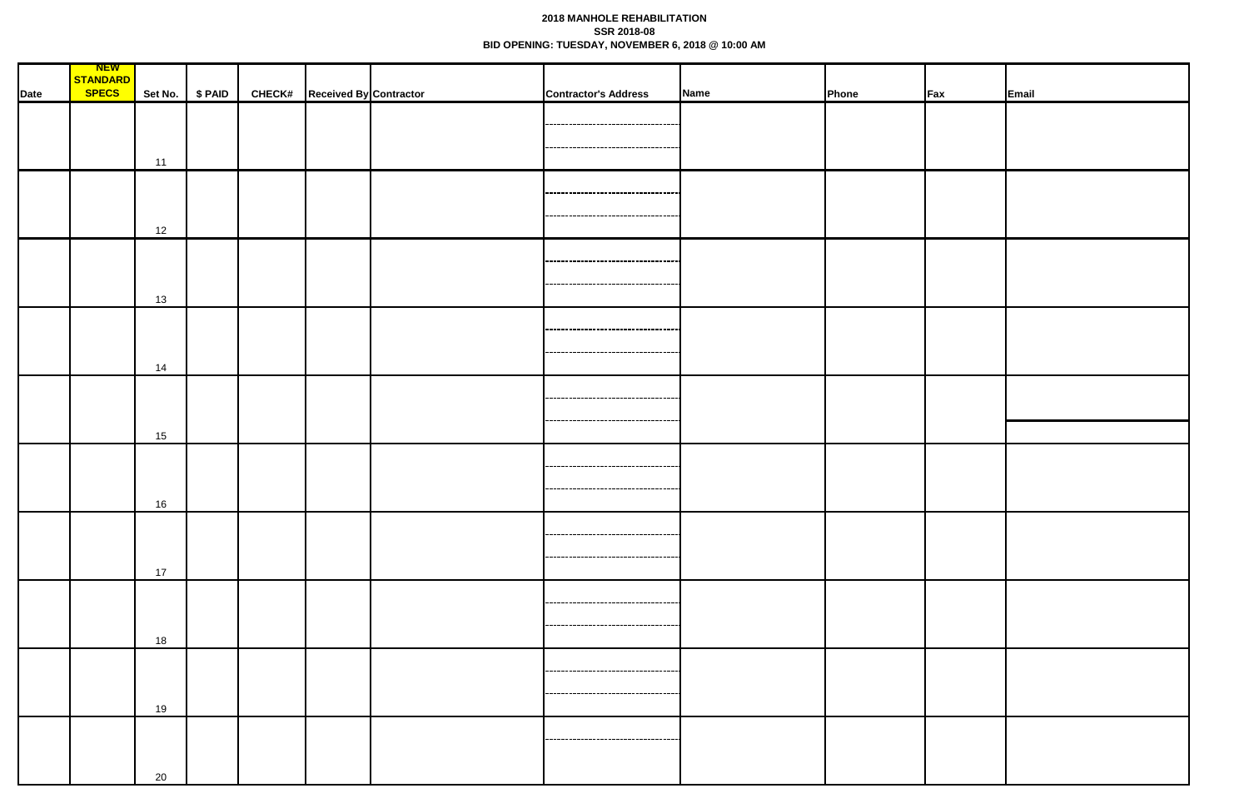## **2018 MANHOLE REHABILITATION SSR 2018-08 BID OPENING: TUESDAY, NOVEMBER 6, 2018 @ 10:00 AM**

|      | <b>NEW</b>   |    |                 |                                      |                                      |             |       |         |       |
|------|--------------|----|-----------------|--------------------------------------|--------------------------------------|-------------|-------|---------|-------|
|      | STANDARD     |    |                 |                                      |                                      |             |       |         |       |
| Date | <b>SPECS</b> |    | Set No. \$ PAID | <b>CHECK#</b> Received By Contractor | <b>Contractor's Address</b>          | <b>Name</b> | Phone | $ $ Fax | Email |
|      |              |    |                 |                                      |                                      |             |       |         |       |
|      |              |    |                 |                                      | . <i>.</i> .                         |             |       |         |       |
|      |              |    |                 |                                      | ---------------------------------    |             |       |         |       |
|      |              | 11 |                 |                                      |                                      |             |       |         |       |
|      |              |    |                 |                                      |                                      |             |       |         |       |
|      |              |    |                 |                                      | ------------------------------------ |             |       |         |       |
|      |              |    |                 |                                      |                                      |             |       |         |       |
|      |              |    |                 |                                      |                                      |             |       |         |       |
|      |              | 12 |                 |                                      |                                      |             |       |         |       |
|      |              |    |                 |                                      |                                      |             |       |         |       |
|      |              |    |                 |                                      | ------------------------------------ |             |       |         |       |
|      |              |    |                 |                                      | --------------------------------     |             |       |         |       |
|      |              | 13 |                 |                                      |                                      |             |       |         |       |
|      |              |    |                 |                                      |                                      |             |       |         |       |
|      |              |    |                 |                                      | -------------------------------      |             |       |         |       |
|      |              |    |                 |                                      | -----------------------------------  |             |       |         |       |
|      |              | 14 |                 |                                      |                                      |             |       |         |       |
|      |              |    |                 |                                      |                                      |             |       |         |       |
|      |              |    |                 |                                      |                                      |             |       |         |       |
|      |              |    |                 |                                      |                                      |             |       |         |       |
|      |              |    |                 |                                      | --------------------------------     |             |       |         |       |
|      |              | 15 |                 |                                      |                                      |             |       |         |       |
|      |              |    |                 |                                      |                                      |             |       |         |       |
|      |              |    |                 |                                      |                                      |             |       |         |       |
|      |              |    |                 |                                      |                                      |             |       |         |       |
|      |              | 16 |                 |                                      |                                      |             |       |         |       |
|      |              |    |                 |                                      |                                      |             |       |         |       |
|      |              |    |                 |                                      | ------------------------------------ |             |       |         |       |
|      |              |    |                 |                                      | ------------------------------------ |             |       |         |       |
|      |              | 17 |                 |                                      |                                      |             |       |         |       |
|      |              |    |                 |                                      |                                      |             |       |         |       |
|      |              |    |                 |                                      | -----------------------------------  |             |       |         |       |
|      |              |    |                 |                                      |                                      |             |       |         |       |
|      |              |    |                 |                                      | -----------------------------------  |             |       |         |       |
|      |              | 18 |                 |                                      |                                      |             |       |         |       |
|      |              |    |                 |                                      |                                      |             |       |         |       |
|      |              |    |                 |                                      |                                      |             |       |         |       |
|      |              |    |                 |                                      | -----------------------------------  |             |       |         |       |
|      |              | 19 |                 |                                      |                                      |             |       |         |       |
|      |              |    |                 |                                      |                                      |             |       |         |       |
|      |              |    |                 |                                      | -----------------------------------  |             |       |         |       |
|      |              |    |                 |                                      |                                      |             |       |         |       |
|      |              | 20 |                 |                                      |                                      |             |       |         |       |
|      |              |    |                 |                                      |                                      |             |       |         |       |